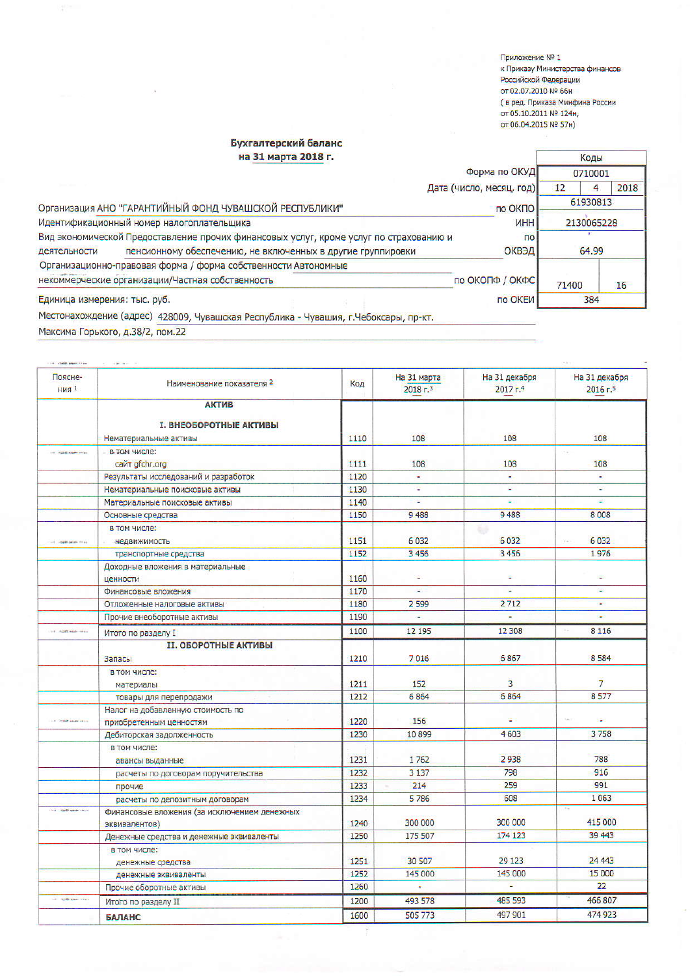Приложение № 1 к Приказу Министерства финансов Российской Федерации от 02.07.2010 № 66н страници в сосии<br>Сред. Приказа Минфина России<br>от 05.10.2011 № 124н, от 06.04.2015 № 57н)

Ť

## Бухгалтерский баланс на 31 марта 2018 г.

| на 31 марта 2018 г.                                     |                                                                                        |                          |            | Коды |  |
|---------------------------------------------------------|----------------------------------------------------------------------------------------|--------------------------|------------|------|--|
|                                                         |                                                                                        | Форма по ОКУД            | 0710001    |      |  |
|                                                         |                                                                                        | Дата (число, месяц, год) | 12         | 2018 |  |
| Организация АНО "ГАРАНТИЙНЫЙ ФОНД ЧУВАШСКОЙ РЕСПУБЛИКИ" |                                                                                        | по ОКПО                  | 61930813   |      |  |
| Идентификационный номер налогоплательщика               |                                                                                        | <b>MHH</b>               | 2130065228 |      |  |
|                                                         | Вид экономической Предоставление прочих финансовых услуг, кроме услуг по страхованию и | $\overline{p}$           |            |      |  |
| деятельности                                            | пенсионному обеспечению, не включенных в другие группировки                            | ОКВЭД                    | 64.99      |      |  |
|                                                         | Организационно-правовая форма / форма собственности Автономные                         |                          |            |      |  |
|                                                         | некоммерческие организации/Частная собственность                                       | по ОКОПФ / ОКФС          | 71400      | 16   |  |
| Единица измерения: тыс. руб.                            |                                                                                        | по ОКЕИ                  | 384        |      |  |
|                                                         | Местонахождение (адрес) 428009, Чувашская Республика - Чувашия, г.Чебоксары, пр-кт.    |                          |            |      |  |

Максима Горького, д.38/2, пом.22

| Поясне-<br>$H$ ия 1              | Наименование показателя 2                    | Код  | На 31 марта<br>2018r <sup>3</sup> | На 31 декабря<br>$2017 - 4$ | На 31 декабря<br>$2016 - 5$ |
|----------------------------------|----------------------------------------------|------|-----------------------------------|-----------------------------|-----------------------------|
|                                  | <b>АКТИВ</b>                                 |      |                                   |                             |                             |
|                                  |                                              |      |                                   |                             |                             |
|                                  | <b>I. ВНЕОБОРОТНЫЕ АКТИВЫ</b>                |      |                                   |                             |                             |
|                                  | Нематериальные активы                        | 1110 | 108                               | 108                         | 108                         |
| the country superior com-        | <b>В ТОМ ЧИСЛЕ:</b>                          |      |                                   |                             | (16)                        |
|                                  | сайт gfchr.org                               | 1111 | 108                               | 108                         | 108                         |
|                                  | Результаты исследований и разработок         | 1120 | ٠                                 |                             | ÷.                          |
|                                  | Нематериальные поисковые активы              | 1130 | ÷                                 | c.                          | W.                          |
|                                  | Материальные поисковые активы                | 1140 | $\blacksquare$                    | ÷                           | ÷.                          |
|                                  | Основные средства                            | 1150 | 9488                              | 9488                        | 8008                        |
|                                  | в том числе:                                 |      |                                   | 92                          |                             |
| THE PERMIT WAS PERMIT            | недвижимость                                 | 1151 | 6032                              | 6032                        | 6032                        |
|                                  | транспортные средства                        | 1152 | 3456                              | 3456                        | 1976                        |
|                                  | Доходные вложения в материальные             |      |                                   |                             |                             |
|                                  | ценности                                     | 1160 |                                   | Ξ                           | W.                          |
|                                  | Финансовые вложения                          | 1170 | $\omega$ .                        | u,                          | 靈                           |
|                                  | Отложенные налоговые активы                  | 1180 | 2599                              | 2712                        | ¥.                          |
|                                  | Прочие внеоборотные активы                   | 1190 |                                   |                             |                             |
| to address the                   | Итого по разделу I                           | 1100 | 12 195                            | 12 308                      | 8 1 1 6                     |
|                                  | <b>II. ОБОРОТНЫЕ АКТИВЫ</b>                  |      |                                   |                             |                             |
|                                  | <b>Запасы</b>                                | 1210 | 7016                              | 6867                        | 8584                        |
|                                  | в том числе:                                 |      |                                   |                             |                             |
|                                  | материалы                                    | 1211 | 152                               | 3                           | $\overline{7}$              |
|                                  | товары для перепродажи                       | 1212 | 6864                              | 6864                        | 8577                        |
|                                  | Налог на добавленную стоимость по            |      |                                   |                             |                             |
| <b>CALL TO THE REAL PROPERTY</b> | приобретенным ценностям                      | 1220 | 156                               |                             |                             |
|                                  | Дебиторская задолженность                    | 1230 | 10899                             | 4603                        | 3758                        |
|                                  | в том числе:                                 |      |                                   |                             |                             |
|                                  | авансы выданные                              | 1231 | 1762                              | 2938                        | 788                         |
|                                  | расчеты по договорам поручительства          | 1232 | 3 1 3 7                           | 798                         | 916                         |
|                                  | прочие                                       | 1233 | 214                               | 259                         | 991                         |
|                                  | расчеты по депозитным договорам              | 1234 | 5786                              | 608                         | 1063                        |
| List made show that              | Финансовые вложения (за исключением денежных |      |                                   |                             | $\sim$                      |
|                                  | эквивалентов)                                | 1240 | 300 000                           | 300 000                     | 415 000                     |
|                                  | Денежные средства и денежные эквиваленты     | 1250 | 175 507                           | 174 123                     | 39 443                      |
|                                  | в том числе:                                 |      |                                   |                             |                             |
|                                  | денежные средства                            | 1251 | 30 507                            | 29 1 23                     | 24 4 43                     |
|                                  | денежные эквиваленты                         | 1252 | 145 000                           | 145 000                     | 15 000                      |
|                                  | Прочие оборотные активы                      | 1260 | ÷.                                | ÷.                          | 22                          |
| of not see the                   | Итого по разделу II                          | 1200 | 493 578                           | 485 593                     | 466 807                     |
|                                  |                                              |      |                                   |                             |                             |